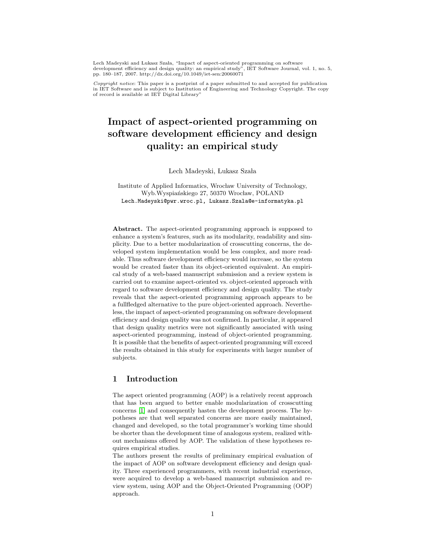Lech Madeyski and Lukasz Szała, "Impact of aspect-oriented programming on software<br>development efficiency and design quality: an empirical study", IET Software Journal, vol. 1, no. 5, pp. 180–187, 2007. http://dx.doi.org/10.1049/iet-sen:20060071

Copyright notice: This paper is a postprint of a paper submitted to and accepted for publication in IET Software and is subject to Institution of Engineering and Technology Copyright. The copy of record is available at IET Digital Library"

# Impact of aspect-oriented programming on software development efficiency and design quality: an empirical study

Lech Madeyski, Lukasz Szała

Institute of Applied Informatics, Wrocław University of Technology, Wyb.Wyspiańskiego 27, 50370 Wrocław, POLAND Lech.Madeyski@pwr.wroc.pl, Lukasz.Szala@e-informatyka.pl

Abstract. The aspect-oriented programming approach is supposed to enhance a system's features, such as its modularity, readability and simplicity. Due to a better modularization of crosscutting concerns, the developed system implementation would be less complex, and more readable. Thus software development efficiency would increase, so the system would be created faster than its object-oriented equivalent. An empirical study of a web-based manuscript submission and a review system is carried out to examine aspect-oriented vs. object-oriented approach with regard to software development efficiency and design quality. The study reveals that the aspect-oriented programming approach appears to be a fullfledged alternative to the pure object-oriented approach. Nevertheless, the impact of aspect-oriented programming on software development efficiency and design quality was not confirmed. In particular, it appeared that design quality metrics were not significantly associated with using aspect-oriented programming, instead of object-oriented programming. It is possible that the benefits of aspect-oriented programming will exceed the results obtained in this study for experiments with larger number of subjects.

# 1 Introduction

The aspect oriented programming (AOP) is a relatively recent approach that has been argued to better enable modularization of crosscutting concerns [\[1\]](#page-15-0) and consequently hasten the development process. The hypotheses are that well separated concerns are more easily maintained, changed and developed, so the total programmer's working time should be shorter than the development time of analogous system, realized without mechanisms offered by AOP. The validation of these hypotheses requires empirical studies.

The authors present the results of preliminary empirical evaluation of the impact of AOP on software development efficiency and design quality. Three experienced programmers, with recent industrial experience, were acquired to develop a web-based manuscript submission and review system, using AOP and the Object-Oriented Programming (OOP) approach.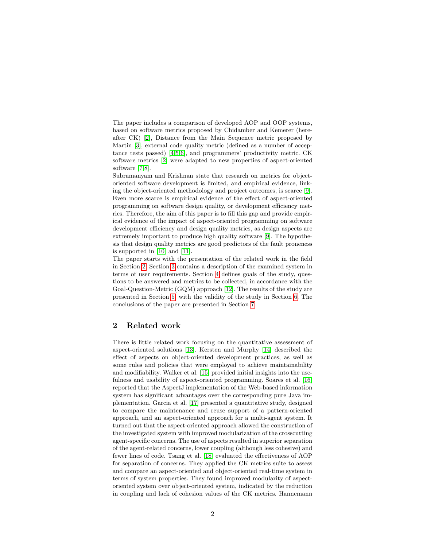The paper includes a comparison of developed AOP and OOP systems, based on software metrics proposed by Chidamber and Kemerer (hereafter CK) [\[2\]](#page-15-1), Distance from the Main Sequence metric proposed by Martin [\[3\]](#page-15-2), external code quality metric (defined as a number of acceptance tests passed) [\[4,](#page-15-3)[5,](#page-15-4)[6\]](#page-15-5), and programmers' productivity metric. CK software metrics [\[2\]](#page-15-1) were adapted to new properties of aspect-oriented software [\[7](#page-15-6)[,8\]](#page-15-7).

Subramanyam and Krishnan state that research on metrics for objectoriented software development is limited, and empirical evidence, linking the object-oriented methodology and project outcomes, is scarce [\[9\]](#page-16-0). Even more scarce is empirical evidence of the effect of aspect-oriented programming on software design quality, or development efficiency metrics. Therefore, the aim of this paper is to fill this gap and provide empirical evidence of the impact of aspect-oriented programming on software development efficiency and design quality metrics, as design aspects are extremely important to produce high quality software [\[9\]](#page-16-0). The hypothesis that design quality metrics are good predictors of the fault proneness is supported in [\[10\]](#page-16-1) and [\[11\]](#page-16-2).

The paper starts with the presentation of the related work in the field in Section [2.](#page-1-0) Section [3](#page-2-0) contains a description of the examined system in terms of user requirements. Section [4](#page-3-0) defines goals of the study, questions to be answered and metrics to be collected, in accordance with the Goal-Question-Metric (GQM) approach [\[12\]](#page-16-3). The results of the study are presented in Section [5,](#page-5-0) with the validity of the study in Section [6.](#page-12-0) The conclusions of the paper are presented in Section [7.](#page-14-0)

# <span id="page-1-0"></span>2 Related work

There is little related work focusing on the quantitative assessment of aspect-oriented solutions [\[13\]](#page-16-4). Kersten and Murphy [\[14\]](#page-16-5) described the effect of aspects on object-oriented development practices, as well as some rules and policies that were employed to achieve maintainability and modifiability. Walker et al. [\[15\]](#page-16-6) provided initial insights into the usefulness and usability of aspect-oriented programming. Soares et al. [\[16\]](#page-16-7) reported that the AspectJ implementation of the Web-based information system has significant advantages over the corresponding pure Java implementation. Garcia et al. [\[17\]](#page-16-8) presented a quantitative study, designed to compare the maintenance and reuse support of a pattern-oriented approach, and an aspect-oriented approach for a multi-agent system. It turned out that the aspect-oriented approach allowed the construction of the investigated system with improved modularization of the crosscutting agent-specific concerns. The use of aspects resulted in superior separation of the agent-related concerns, lower coupling (although less cohesive) and fewer lines of code. Tsang et al. [\[18\]](#page-16-9) evaluated the effectiveness of AOP for separation of concerns. They applied the CK metrics suite to assess and compare an aspect-oriented and object-oriented real-time system in terms of system properties. They found improved modularity of aspectoriented system over object-oriented system, indicated by the reduction in coupling and lack of cohesion values of the CK metrics. Hannemann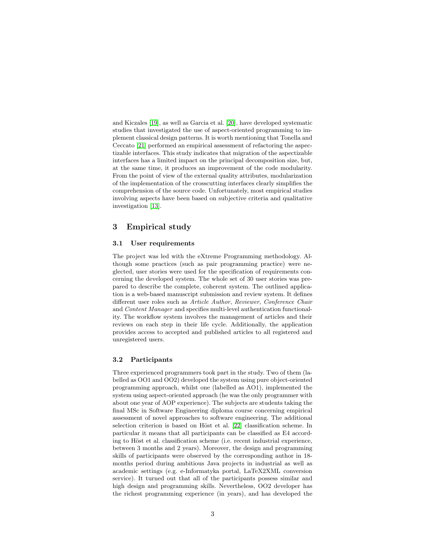and Kiczales [\[19\]](#page-16-10), as well as Garcia et al. [\[20\]](#page-16-11), have developed systematic studies that investigated the use of aspect-oriented programming to implement classical design patterns. It is worth mentioning that Tonella and Ceccato [\[21\]](#page-17-0) performed an empirical assessment of refactoring the aspectizable interfaces. This study indicates that migration of the aspectizable interfaces has a limited impact on the principal decomposition size, but, at the same time, it produces an improvement of the code modularity. From the point of view of the external quality attributes, modularization of the implementation of the crosscutting interfaces clearly simplifies the comprehension of the source code. Unfortunately, most empirical studies involving aspects have been based on subjective criteria and qualitative investigation [\[13\]](#page-16-4).

# <span id="page-2-0"></span>3 Empirical study

#### 3.1 User requirements

The project was led with the eXtreme Programming methodology. Although some practices (such as pair programming practice) were neglected, user stories were used for the specification of requirements concerning the developed system. The whole set of 30 user stories was prepared to describe the complete, coherent system. The outlined application is a web-based manuscript submission and review system. It defines different user roles such as Article Author, Reviewer, Conference Chair and Content Manager and specifies multi-level authentication functionality. The workflow system involves the management of articles and their reviews on each step in their life cycle. Additionally, the application provides access to accepted and published articles to all registered and unregistered users.

#### 3.2 Participants

Three experienced programmers took part in the study. Two of them (labelled as OO1 and OO2) developed the system using pure object-oriented programming approach, whilst one (labelled as AO1), implemented the system using aspect-oriented approach (he was the only programmer with about one year of AOP experience). The subjects are students taking the final MSc in Software Engineering diploma course concerning empirical assessment of novel approaches to software engineering. The additional selection criterion is based on Höst et al. [\[22\]](#page-17-1) classification scheme. In particular it means that all participants can be classified as E4 according to Höst et al. classification scheme (i.e. recent industrial experience, between 3 months and 2 years). Moreover, the design and programming skills of participants were observed by the corresponding author in 18 months period during ambitious Java projects in industrial as well as academic settings (e.g. e-Informatyka portal, LaTeX2XML conversion service). It turned out that all of the participants possess similar and high design and programming skills. Nevertheless, OO2 developer has the richest programming experience (in years), and has developed the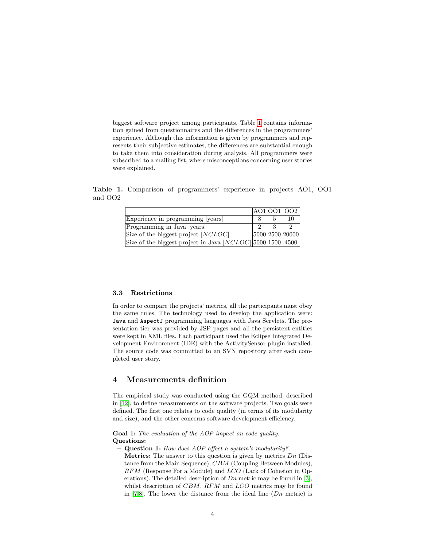biggest software project among participants. Table [1](#page-3-1) contains information gained from questionnaires and the differences in the programmers' experience. Although this information is given by programmers and represents their subjective estimates, the differences are substantial enough to take them into consideration during analysis. All programmers were subscribed to a mailing list, where misconceptions concerning user stories were explained.

Table 1. Comparison of programmers' experience in projects AO1, OO1 and OO2

<span id="page-3-1"></span>

|                                                                                |  | A01 001  002    |
|--------------------------------------------------------------------------------|--|-----------------|
| Experience in programming [years]                                              |  | 10              |
| Programming in Java [years]                                                    |  |                 |
| Size of the biggest project $ \overline{NCLOC} $                               |  | 5000 2500 20000 |
| Size of the biggest project in $\text{Java } [NCLOC] \mid 5000 \mid 1500$ 4500 |  |                 |

#### 3.3 Restrictions

In order to compare the projects' metrics, all the participants must obey the same rules. The technology used to develop the application were: Java and AspectJ programming languages with Java Servlets. The presentation tier was provided by JSP pages and all the persistent entities were kept in XML files. Each participant used the Eclipse Integrated Development Environment (IDE) with the ActivitySensor plugin installed. The source code was committed to an SVN repository after each completed user story.

# <span id="page-3-0"></span>4 Measurements definition

The empirical study was conducted using the GQM method, described in [\[12\]](#page-16-3), to define measurements on the software projects. Two goals were defined. The first one relates to code quality (in terms of its modularity and size), and the other concerns software development efficiency.

Goal 1: The evaluation of the AOP impact on code quality. Questions:

- Question 1: How does AOP affect a system's modularity?
	- **Metrics:** The answer to this question is given by metrics  $Dn$  (Distance from the Main Sequence), CBM (Coupling Between Modules), RFM (Response For a Module) and LCO (Lack of Cohesion in Operations). The detailed description of  $Dn$  metric may be found in [\[3\]](#page-15-2), whilst description of CBM, RFM and LCO metrics may be found in [\[7,](#page-15-6)[8\]](#page-15-7). The lower the distance from the ideal line  $(Dn \text{ metric})$  is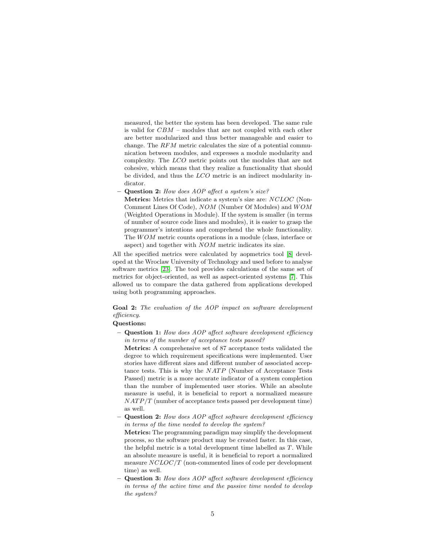measured, the better the system has been developed. The same rule is valid for CBM – modules that are not coupled with each other are better modularized and thus better manageable and easier to change. The RFM metric calculates the size of a potential communication between modules, and expresses a module modularity and complexity. The LCO metric points out the modules that are not cohesive, which means that they realize a functionality that should be divided, and thus the LCO metric is an indirect modularity indicator.

– Question 2: How does AOP affect a system's size?

Metrics: Metrics that indicate a system's size are: NCLOC (Non-Comment Lines Of Code), NOM (Number Of Modules) and  $WOM$ (Weighted Operations in Module). If the system is smaller (in terms of number of source code lines and modules), it is easier to grasp the programmer's intentions and comprehend the whole functionality. The *WOM* metric counts operations in a module (class, interface or aspect) and together with NOM metric indicates its size.

All the specified metrics were calculated by aopmetrics tool [\[8\]](#page-15-7) developed at the Wroclaw University of Technology and used before to analyse software metrics [\[23\]](#page-17-2). The tool provides calculations of the same set of metrics for object-oriented, as well as aspect-oriented systems [\[7\]](#page-15-6). This allowed us to compare the data gathered from applications developed using both programming approaches.

# Goal 2: The evaluation of the AOP impact on software development efficiency.

#### Questions:

– Question 1: How does AOP affect software development efficiency in terms of the number of acceptance tests passed?

Metrics: A comprehensive set of 87 acceptance tests validated the degree to which requirement specifications were implemented. User stories have different sizes and different number of associated acceptance tests. This is why the  $NATP$  (Number of Acceptance Tests Passed) metric is a more accurate indicator of a system completion than the number of implemented user stories. While an absolute measure is useful, it is beneficial to report a normalized measure  $NATP/T$  (number of acceptance tests passed per development time) as well.

– Question 2: How does AOP affect software development efficiency in terms of the time needed to develop the system?

Metrics: The programming paradigm may simplify the development process, so the software product may be created faster. In this case, the helpful metric is a total development time labelled as T. While an absolute measure is useful, it is beneficial to report a normalized measure NCLOC/T (non-commented lines of code per development time) as well.

- Question 3: How does AOP affect software development efficiency in terms of the active time and the passive time needed to develop the system?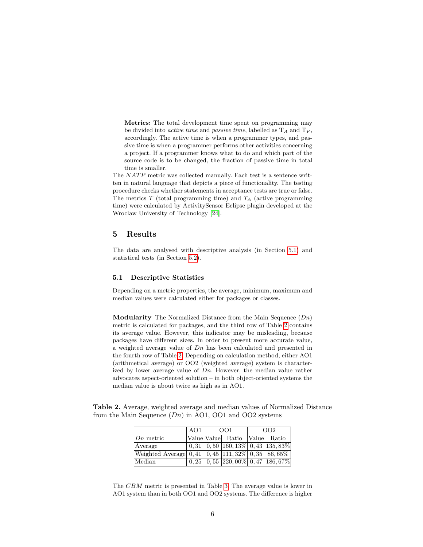Metrics: The total development time spent on programming may be divided into *active time* and *passive time*, labelled as  $T_A$  and  $T_P$ , accordingly. The active time is when a programmer types, and passive time is when a programmer performs other activities concerning a project. If a programmer knows what to do and which part of the source code is to be changed, the fraction of passive time in total time is smaller.

The  $NATP$  metric was collected manually. Each test is a sentence written in natural language that depicts a piece of functionality. The testing procedure checks whether statements in acceptance tests are true or false. The metrics  $T$  (total programming time) and  $T_A$  (active programming time) were calculated by ActivitySensor Eclipse plugin developed at the Wroclaw University of Technology [\[24\]](#page-17-3).

# <span id="page-5-0"></span>5 Results

The data are analysed with descriptive analysis (in Section [5.1\)](#page-5-1) and statistical tests (in Section [5.2\)](#page-9-0).

#### <span id="page-5-1"></span>5.1 Descriptive Statistics

Depending on a metric properties, the average, minimum, maximum and median values were calculated either for packages or classes.

**Modularity** The Normalized Distance from the Main Sequence  $(Dn)$ metric is calculated for packages, and the third row of Table [2](#page-5-2) contains its average value. However, this indicator may be misleading, because packages have different sizes. In order to present more accurate value, a weighted average value of Dn has been calculated and presented in the fourth row of Table [2.](#page-5-2) Depending on calculation method, either AO1 (arithmetical average) or OO2 (weighted average) system is characterized by lower average value of  $Dn$ . However, the median value rather advocates aspect-oriented solution – in both object-oriented systems the median value is about twice as high as in AO1.

Table 2. Average, weighted average and median values of Normalized Distance from the Main Sequence  $(Dn)$  in AO1, OO1 and OO2 systems

<span id="page-5-2"></span>

|                                                                                | AO1 | OO1 |                                                                       | OO <sub>2</sub> |
|--------------------------------------------------------------------------------|-----|-----|-----------------------------------------------------------------------|-----------------|
| $Dn$ metric                                                                    |     |     | Value Value Ratio                                                     | Value Ratio     |
| Average                                                                        |     |     | $\vert 0, 31 \vert 0, 50 \vert 160, 13\% \vert 0, 43 \vert 135, 83\%$ |                 |
| Weighted Average $\boxed{0,41}$ $\boxed{0,45}$ 111, 32% $\boxed{0,35}$ 86, 65% |     |     |                                                                       |                 |
| Median                                                                         |     |     | $0,25 \mid 0,55 \mid 220,00\% \mid 0,47 \mid 186,67\%$                |                 |

The CBM metric is presented in Table [3.](#page-6-0) The average value is lower in AO1 system than in both OO1 and OO2 systems. The difference is higher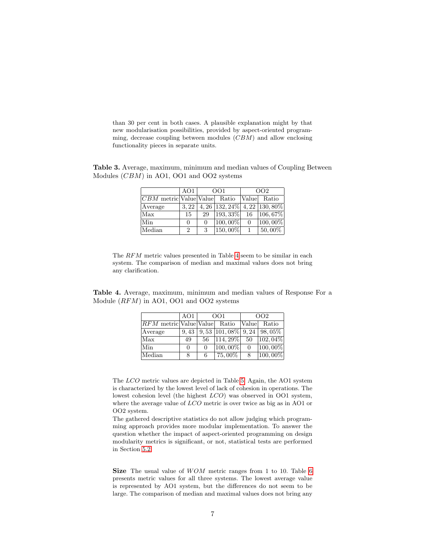than 30 per cent in both cases. A plausible explanation might by that new modularisation possibilities, provided by aspect-oriented programming, decrease coupling between modules (CBM) and allow enclosing functionality pieces in separate units.

<span id="page-6-0"></span>Table 3. Average, maximum, minimum and median values of Coupling Between Modules (CBM) in AO1, OO1 and OO2 systems

|                                  | AO1            | O <sub>O</sub> 1 |                                        | OO <sub>2</sub> |             |
|----------------------------------|----------------|------------------|----------------------------------------|-----------------|-------------|
| $ CBM $ metric Value Value Ratio |                |                  |                                        |                 | Value Ratio |
| Average                          | 3.22           |                  | $4,26$   132, 24\%   4, 22   130, 80\% |                 |             |
| Max                              | 15             | 29               | $ 193, 33\% $                          | 16              | 106,67%     |
| Min                              | 0              | 0                | $ 100,00\% $                           | $\Omega$        | 100,00%     |
| Median                           | $\overline{2}$ | 3                | $ 150,00\% $                           |                 | $50,00\%$   |

The RFM metric values presented in Table [4](#page-6-1) seem to be similar in each system. The comparison of median and maximal values does not bring any clarification.

<span id="page-6-1"></span>Table 4. Average, maximum, minimum and median values of Response For a Module (RFM) in AO1, OO1 and OO2 systems

|                          | AO1  | OO1      |                                                             | OO2            |                    |
|--------------------------|------|----------|-------------------------------------------------------------|----------------|--------------------|
| $RFM$ metric Value Value |      |          | Ratio                                                       | Value          | Ratio              |
| Average                  | 9.43 |          | $\overline{9,53}$ [101, 08\%] $\overline{9,24}$ [ 98, 05\%] |                |                    |
| Max                      | 49   | 56       | $ 114, 29\% $ 50                                            |                | $ 102,04\% $       |
| Min                      | 0    | $\Omega$ | $\overline{100,00\%}$                                       | $\overline{0}$ | $\boxed{100,00\%}$ |
| Median                   | 8    | 6        | $75,00\%$                                                   | 8              | $ 100,00\% $       |

The LCO metric values are depicted in Table [5.](#page-7-0) Again, the AO1 system is characterized by the lowest level of lack of cohesion in operations. The lowest cohesion level (the highest LCO) was observed in OO1 system, where the average value of  $LCO$  metric is over twice as big as in AO1 or OO2 system.

The gathered descriptive statistics do not allow judging which programming approach provides more modular implementation. To answer the question whether the impact of aspect-oriented programming on design modularity metrics is significant, or not, statistical tests are performed in Section [5.2.](#page-9-0)

Size The usual value of  $WOM$  metric ranges from 1 to 10. Table [6](#page-7-1) presents metric values for all three systems. The lowest average value is represented by AO1 system, but the differences do not seem to be large. The comparison of median and maximal values does not bring any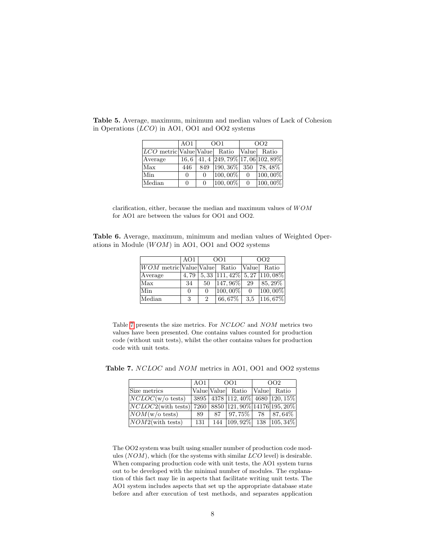|                                      | AO1      | OO1      |                                                  | OO <sub>2</sub> |             |
|--------------------------------------|----------|----------|--------------------------------------------------|-----------------|-------------|
| $LCO$ metric Value Value Ratio Value |          |          |                                                  |                 | Ratio       |
| Average                              |          |          | $16,6$   $41,4$   $249,79\%$   17, 06   102, 89% |                 |             |
| Max                                  | 446      | 849      | $ 190, 36\% $ 350   78,48%                       |                 |             |
| Min                                  | 0        | $\Omega$ | $100,00\%$                                       | $\Omega$        | 100,00%     |
| Median                               | $\Omega$ | $\theta$ | $ 100,00\% $                                     | $\overline{0}$  | $ 100,00\%$ |

<span id="page-7-0"></span>Table 5. Average, maximum, minimum and median values of Lack of Cohesion in Operations (LCO) in AO1, OO1 and OO2 systems

<span id="page-7-1"></span>clarification, either, because the median and maximum values of  $WOM$ for AO1 are between the values for OO1 and OO2.

Table 6. Average, maximum, minimum and median values of Weighted Operations in Module  $(WOM)$  in AO1, OO1 and OO2 systems

|                              | AO1      |                | O <sub>O</sub> 1                       | OO <sub>2</sub> |                    |  |
|------------------------------|----------|----------------|----------------------------------------|-----------------|--------------------|--|
| WOM metric Value Value Ratio |          |                |                                        | Value           | Ratio              |  |
| Average                      | 4.79     |                | $5,33$   111, 42\%   5, 27   110, 08\% |                 |                    |  |
| Max                          | 34       | 50             | $ 147,96\% $                           | 29              | $85,29\%$          |  |
| Min                          | $\theta$ | 0              | $\boxed{100,00\%}$                     | $\overline{0}$  | $\boxed{100,00\%}$ |  |
| Median                       | 3        | $\overline{2}$ | $66,67\%$                              | 3.5             | $ 116, 67\%$       |  |
|                              |          |                |                                        |                 |                    |  |

Table [7](#page-7-2) presents the size metrics. For NCLOC and NOM metrics two values have been presented. One contains values counted for production code (without unit tests), whilst the other contains values for production code with unit tests.

<span id="page-7-2"></span>

|                                                         | AO1 | OO1 |                                              | OO <sub>2</sub> |  |
|---------------------------------------------------------|-----|-----|----------------------------------------------|-----------------|--|
| Size metrics                                            |     |     | Value Value Ratio Value Ratio                |                 |  |
| $NCLOC(w/\text{o tests})$                               |     |     | $ 3895 4378 112,40\% 4680 120,15\%$          |                 |  |
| $NCLOC2$ (with tests) 7260 8850 121, 90% 14176 195, 20% |     |     |                                              |                 |  |
| $\sqrt{NOM(w/\text{o} \text{ tests})}$                  | 89  | 87  | $\vert 97.75\% \vert 78 \vert 87.64\% \vert$ |                 |  |
| $NOM2$ (with tests)                                     | 131 |     | 144   109, 92%   138   105, 34%              |                 |  |

Table 7. NCLOC and NOM metrics in AO1, OO1 and OO2 systems

The OO2 system was built using smaller number of production code modules  $(NOM)$ , which (for the systems with similar  $LCO$  level) is desirable. When comparing production code with unit tests, the AO1 system turns out to be developed with the minimal number of modules. The explanation of this fact may lie in aspects that facilitate writing unit tests. The AO1 system includes aspects that set up the appropriate database state before and after execution of test methods, and separates application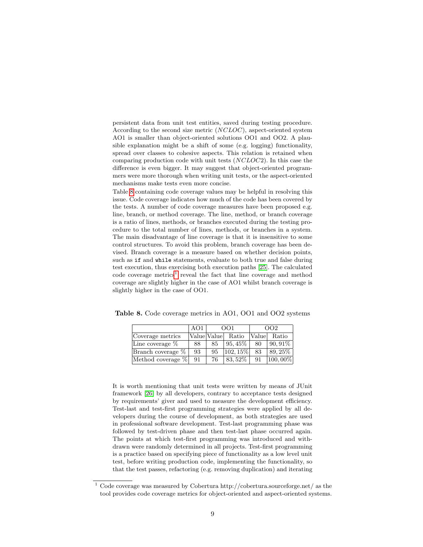persistent data from unit test entities, saved during testing procedure. According to the second size metric (NCLOC), aspect-oriented system AO1 is smaller than object-oriented solutions OO1 and OO2. A plausible explanation might be a shift of some (e.g. logging) functionality, spread over classes to cohesive aspects. This relation is retained when comparing production code with unit tests (NCLOC2). In this case the difference is even bigger. It may suggest that object-oriented programmers were more thorough when writing unit tests, or the aspect-oriented mechanisms make tests even more concise.

Table [8](#page-8-0) containing code coverage values may be helpful in resolving this issue. Code coverage indicates how much of the code has been covered by the tests. A number of code coverage measures have been proposed e.g. line, branch, or method coverage. The line, method, or branch coverage is a ratio of lines, methods, or branches executed during the testing procedure to the total number of lines, methods, or branches in a system. The main disadvantage of line coverage is that it is insensitive to some control structures. To avoid this problem, branch coverage has been devised. Branch coverage is a measure based on whether decision points, such as if and while statements, evaluate to both true and false during test execution, thus exercising both execution paths [\[25\]](#page-17-4). The calculated  $\text{code coverage metrics}^1$  $\text{code coverage metrics}^1$  reveal the fact that line coverage and method coverage are slightly higher in the case of AO1 whilst branch coverage is slightly higher in the case of OO1.

<span id="page-8-0"></span>

|                              | AO1<br>OO <sub>2</sub><br>OO1 |    |               |       |              |
|------------------------------|-------------------------------|----|---------------|-------|--------------|
| Coverage metrics             | Value Value                   |    | Ratio         | Value | Ratio        |
| Line coverage $\%$           | 88                            | 85 | $95.45\%$     | 80    | $ 90,91\%$   |
| $\beta$ Franch coverage $\%$ | 93                            | 95 | $ 102, 15\% $ | 83    | $89.25\%$    |
| Method coverage %            | 91                            | 76 | 83,52%        | 91    | $ 100,00\% $ |

Table 8. Code coverage metrics in AO1, OO1 and OO2 systems

It is worth mentioning that unit tests were written by means of JUnit framework [\[26\]](#page-17-5) by all developers, contrary to acceptance tests designed by requirements' giver and used to measure the development efficiency. Test-last and test-first programming strategies were applied by all developers during the course of development, as both strategies are used in professional software development. Test-last programming phase was followed by test-driven phase and then test-last phase occurred again. The points at which test-first programming was introduced and withdrawn were randomly determined in all projects. Test-first programming is a practice based on specifying piece of functionality as a low level unit test, before writing production code, implementing the functionality, so that the test passes, refactoring (e.g. removing duplication) and iterating

<span id="page-8-1"></span> $^{\rm 1}$  Code coverage was measured by Cobertura http://cobertura.sourceforge.net/ as the tool provides code coverage metrics for object-oriented and aspect-oriented systems.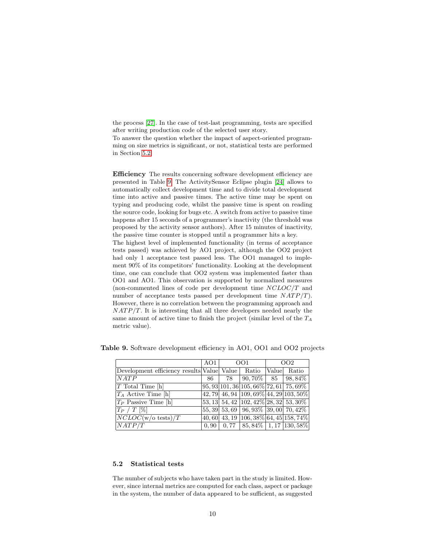the process [\[27\]](#page-17-6). In the case of test-last programming, tests are specified after writing production code of the selected user story.

To answer the question whether the impact of aspect-oriented programming on size metrics is significant, or not, statistical tests are performed in Section [5.2.](#page-9-0)

Efficiency The results concerning software development efficiency are presented in Table [9.](#page-9-1) The ActivitySensor Eclipse plugin [\[24\]](#page-17-3) allows to automatically collect development time and to divide total development time into active and passive times. The active time may be spent on typing and producing code, whilst the passive time is spent on reading the source code, looking for bugs etc. A switch from active to passive time happens after 15 seconds of a programmer's inactivity (the threshold was proposed by the activity sensor authors). After 15 minutes of inactivity, the passive time counter is stopped until a programmer hits a key.

The highest level of implemented functionality (in terms of acceptance tests passed) was achieved by AO1 project, although the OO2 project had only 1 acceptance test passed less. The OO1 managed to implement 90% of its competitors' functionality. Looking at the development time, one can conclude that OO2 system was implemented faster than OO1 and AO1. This observation is supported by normalized measures (non-commented lines of code per development time NCLOC/T and number of acceptance tests passed per development time  $NATP/T$ ). However, there is no correlation between the programming approach and  $NATP/T$ . It is interesting that all three developers needed nearly the same amount of active time to finish the project (similar level of the  $T_A$ metric value).

<span id="page-9-1"></span>

|                                                      | AO1   |       | OO1                                                 |               | OO2                                    |
|------------------------------------------------------|-------|-------|-----------------------------------------------------|---------------|----------------------------------------|
| Development efficiency results Value   Value   Ratio |       |       |                                                     | <i>Naluel</i> | Ratio                                  |
| NATP                                                 | 86    | 78    | $90,70\%$   85                                      |               | $ 98,84\%$                             |
| $T$ Total Time $[h]$                                 |       |       | $95,93 101,36 105,66\% 72,61 75,69\%$               |               |                                        |
| $T_A$ Active Time [h]                                |       |       |                                                     |               | 42, 79 46, 94 109, 69% 44, 29 103, 50% |
| $T_P$ Passive Time [h]                               |       |       | $ 53, 13 $ $54, 42$ $ 102, 42\% 28, 32 $ $53, 30\%$ |               |                                        |
| $ T_P /T$ [%]                                        |       |       | 55, 39 53, 69 96, 93% 39, 00 70, 42%                |               |                                        |
| $NCLOC(w/\text{o tests})/T$                          |       |       |                                                     |               | 40, 60 43, 19 106, 38% 64, 45 158, 74% |
| NATP/T                                               | 0, 90 | 0, 77 |                                                     |               | $ 85,84\% 1,17 130,58\% $              |

Table 9. Software development efficiency in AO1, OO1 and OO2 projects

# <span id="page-9-0"></span>5.2 Statistical tests

The number of subjects who have taken part in the study is limited. However, since internal metrics are computed for each class, aspect or package in the system, the number of data appeared to be sufficient, as suggested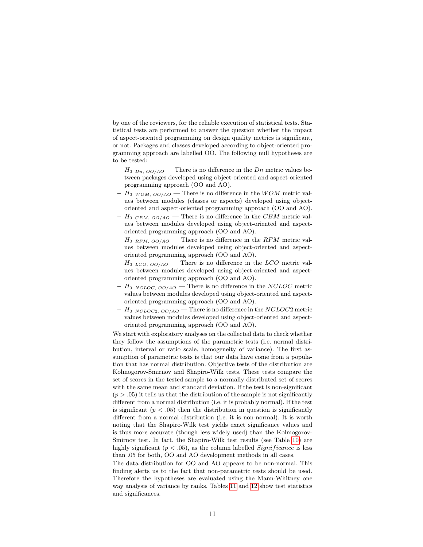by one of the reviewers, for the reliable execution of statistical tests. Statistical tests are performed to answer the question whether the impact of aspect-oriented programming on design quality metrics is significant, or not. Packages and classes developed according to object-oriented programming approach are labelled OO. The following null hypotheses are to be tested:

- $H_0$   $_{Dn, OO/AO}$  There is no difference in the Dn metric values between packages developed using object-oriented and aspect-oriented programming approach (OO and AO).
- $H_0$   $_{WOM, OO/AO}$  There is no difference in the  $WOM$  metric values between modules (classes or aspects) developed using objectoriented and aspect-oriented programming approach (OO and AO).
- $H_0$   $_{CBM, OO/AO}$  There is no difference in the CBM metric values between modules developed using object-oriented and aspectoriented programming approach (OO and AO).
- $H_0$  RFM,  $OO/AO$  There is no difference in the RFM metric values between modules developed using object-oriented and aspectoriented programming approach (OO and AO).
- $H_0$   $_{LCO, OO/AO}$  There is no difference in the LCO metric values between modules developed using object-oriented and aspectoriented programming approach (OO and AO).
- $H_0$  NCLOC,  $OO/AO$  There is no difference in the NCLOC metric values between modules developed using object-oriented and aspectoriented programming approach (OO and AO).
- $H_0$  NCLOC2, OO/AO There is no difference in the NCLOC2 metric values between modules developed using object-oriented and aspectoriented programming approach (OO and AO).

We start with exploratory analyses on the collected data to check whether they follow the assumptions of the parametric tests (i.e. normal distribution, interval or ratio scale, homogeneity of variance). The first assumption of parametric tests is that our data have come from a population that has normal distribution. Objective tests of the distribution are Kolmogorov-Smirnov and Shapiro-Wilk tests. These tests compare the set of scores in the tested sample to a normally distributed set of scores with the same mean and standard deviation. If the test is non-significant  $(p > .05)$  it tells us that the distribution of the sample is not significantly different from a normal distribution (i.e. it is probably normal). If the test is significant ( $p < .05$ ) then the distribution in question is significantly different from a normal distribution (i.e. it is non-normal). It is worth noting that the Shapiro-Wilk test yields exact significance values and is thus more accurate (though less widely used) than the Kolmogorov-Smirnov test. In fact, the Shapiro-Wilk test results (see Table [10\)](#page-11-0) are highly significant ( $p < .05$ ), as the column labelled *Significance* is less than .05 for both, OO and AO development methods in all cases.

The data distribution for OO and AO appears to be non-normal. This finding alerts us to the fact that non-parametric tests should be used. Therefore the hypotheses are evaluated using the Mann-Whitney one way analysis of variance by ranks. Tables [11](#page-11-1) and [12](#page-11-2) show test statistics and significances.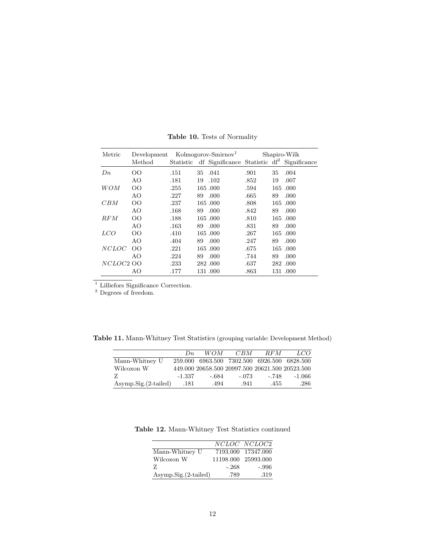| Metric       | Development |      |    | Kolmogorov-Smirnov <sup>1</sup>                                  |      |    | Shapiro-Wilk |
|--------------|-------------|------|----|------------------------------------------------------------------|------|----|--------------|
|              | Method      |      |    | Statistic df Significance Statistic df <sup>2</sup> Significance |      |    |              |
| $D_n$        | OO          | .151 | 35 | .041                                                             | .901 | 35 | .004         |
|              | AO          | .181 | 19 | .102                                                             | .852 | 19 | .007         |
| WOM          | OΟ          | .255 |    | 165.000                                                          | .594 |    | 165.000      |
|              | AO          | .227 | 89 | .000                                                             | .665 | 89 | .000         |
| CBM          | OΟ          | .237 |    | 165.000                                                          | .808 |    | 165.000      |
|              | AO          | .168 | 89 | .000                                                             | .842 | 89 | .000         |
| RFM          | OΟ          | .188 |    | 165.000                                                          | .810 |    | 165.000      |
|              | AO          | .163 | 89 | .000.                                                            | .831 | 89 | .000         |
| <i>LCO</i>   | OΟ          | .410 |    | 165.000                                                          | .267 |    | 165.000      |
|              | AO          | .404 | 89 | .000                                                             | .247 | 89 | .000         |
| <i>NCLOC</i> | OO.         | .221 |    | 165.000                                                          | .675 |    | 165.000      |
|              | AО          | .224 | 89 | .000                                                             | .744 | 89 | .000         |
| NCLOC2 OO    |             | .233 |    | 282.000                                                          | .637 |    | 282,000      |
|              | AO          | .177 |    | 131.000                                                          | .863 |    | 131.000      |

<span id="page-11-0"></span>Table 10. Tests of Normality

<sup>1</sup> Lilliefors Significance Correction.

<sup>2</sup> Degrees of freedom.

Table 11. Mann-Whitney Test Statistics (grouping variable: Development Method)

<span id="page-11-1"></span>

|                      | $D_n$    | <i>WOM</i> | CBM     | RFM   | LCO.                                            |
|----------------------|----------|------------|---------|-------|-------------------------------------------------|
| Mann-Whitney U       |          |            |         |       | 259.000 6963.500 7302.500 6926.500 6828.500     |
| Wilcoxon W           |          |            |         |       | 449.000 20658.500 20997.500 20621.500 20523.500 |
|                      | $-1.337$ | - 684      | $-.073$ | - 748 | -1.066                                          |
| Asymp.Sig.(2-tailed) | .181     | .494       | .941    | .455  | .286                                            |

Table 12. Mann-Whitney Test Statistics continued

<span id="page-11-2"></span>

|                      |         | <i>NCLOC NCLOC2</i> |
|----------------------|---------|---------------------|
| Mann-Whitney U       |         | 7193.000 17347.000  |
| Wilcoxon W           |         | 11198.000 25993.000 |
| Z                    | $-.268$ | -.996               |
| Asymp.Sig.(2-tailed) | .789    | .319                |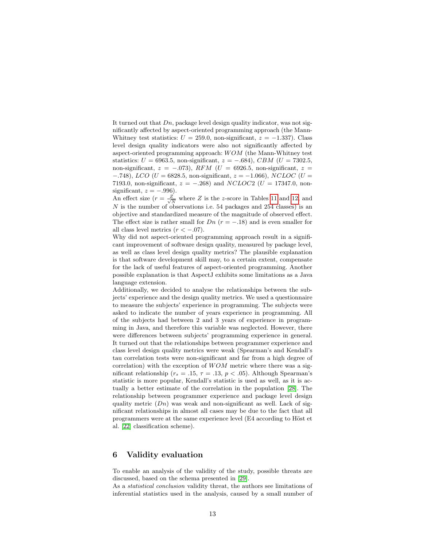It turned out that  $D_n$ , package level design quality indicator, was not significantly affected by aspect-oriented programming approach (the Mann-Whitney test statistics:  $U = 259.0$ , non-significant,  $z = -1.337$ ). Class level design quality indicators were also not significantly affected by aspect-oriented programming approach:  $WOM$  (the Mann-Whitney test statistics:  $U = 6963.5$ , non-significant,  $z = -.684$ ), CBM ( $U = 7302.5$ , non-significant,  $z = -.073$ ), RFM (U = 6926.5, non-significant,  $z =$  $-0.748$ ), LCO (U = 6828.5, non-significant,  $z = -1.066$ ), NCLOC (U = 7193.0, non-significant,  $z = -.268$ ) and NCLOC2 (U = 17347.0, nonsignificant,  $z = -.996$ ).

An effect size  $(r = \frac{Z}{\sqrt{N}})$  where Z is the z-score in Tables [11](#page-11-1) and [12,](#page-11-2) and N is the number of observations i.e. 54 packages and 254 classes) is an objective and standardized measure of the magnitude of observed effect. The effect size is rather small for  $Dn$  ( $r = -.18$ ) and is even smaller for all class level metrics  $(r < -0.07)$ .

Why did not aspect-oriented programming approach result in a significant improvement of software design quality, measured by package level, as well as class level design quality metrics? The plausible explanation is that software development skill may, to a certain extent, compensate for the lack of useful features of aspect-oriented programming. Another possible explanation is that AspectJ exhibits some limitations as a Java language extension.

Additionally, we decided to analyse the relationships between the subjects' experience and the design quality metrics. We used a questionnaire to measure the subjects' experience in programming. The subjects were asked to indicate the number of years experience in programming. All of the subjects had between 2 and 3 years of experience in programming in Java, and therefore this variable was neglected. However, there were differences between subjects' programming experience in general. It turned out that the relationships between programmer experience and class level design quality metrics were weak (Spearman's and Kendall's tau correlation tests were non-significant and far from a high degree of correlation) with the exception of  $WOM$  metric where there was a significant relationship ( $r_s = .15$ ,  $\tau = .13$ ,  $p < .05$ ). Although Spearman's statistic is more popular, Kendall's statistic is used as well, as it is actually a better estimate of the correlation in the population [\[28\]](#page-17-7). The relationship between programmer experience and package level design quality metric  $(Dn)$  was weak and non-significant as well. Lack of significant relationships in almost all cases may be due to the fact that all programmers were at the same experience level (E4 according to Höst et al. [\[22\]](#page-17-1) classification scheme).

# <span id="page-12-0"></span>6 Validity evaluation

To enable an analysis of the validity of the study, possible threats are discussed, based on the schema presented in [\[29\]](#page-17-8).

As a statistical conclusion validity threat, the authors see limitations of inferential statistics used in the analysis, caused by a small number of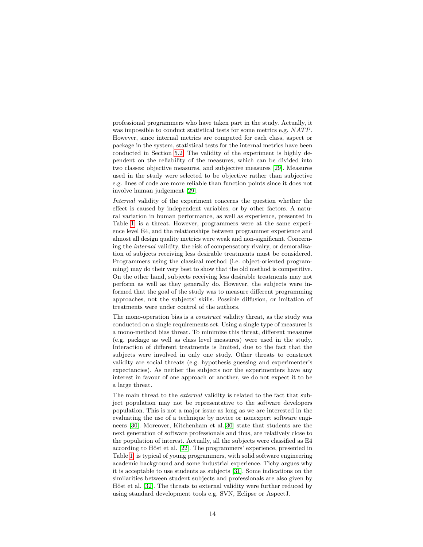professional programmers who have taken part in the study. Actually, it was impossible to conduct statistical tests for some metrics e.g. NATP. However, since internal metrics are computed for each class, aspect or package in the system, statistical tests for the internal metrics have been conducted in Section [5.2.](#page-9-0) The validity of the experiment is highly dependent on the reliability of the measures, which can be divided into two classes: objective measures, and subjective measures [\[29\]](#page-17-8). Measures used in the study were selected to be objective rather than subjective e.g. lines of code are more reliable than function points since it does not involve human judgement [\[29\]](#page-17-8).

Internal validity of the experiment concerns the question whether the effect is caused by independent variables, or by other factors. A natural variation in human performance, as well as experience, presented in Table [1,](#page-3-1) is a threat. However, programmers were at the same experience level E4, and the relationships between programmer experience and almost all design quality metrics were weak and non-significant. Concerning the internal validity, the risk of compensatory rivalry, or demoralization of subjects receiving less desirable treatments must be considered. Programmers using the classical method (i.e. object-oriented programming) may do their very best to show that the old method is competitive. On the other hand, subjects receiving less desirable treatments may not perform as well as they generally do. However, the subjects were informed that the goal of the study was to measure different programming approaches, not the subjects' skills. Possible diffusion, or imitation of treatments were under control of the authors.

The mono-operation bias is a construct validity threat, as the study was conducted on a single requirements set. Using a single type of measures is a mono-method bias threat. To minimize this threat, different measures (e.g. package as well as class level measures) were used in the study. Interaction of different treatments is limited, due to the fact that the subjects were involved in only one study. Other threats to construct validity are social threats (e.g. hypothesis guessing and experimenter's expectancies). As neither the subjects nor the experimenters have any interest in favour of one approach or another, we do not expect it to be a large threat.

The main threat to the *external* validity is related to the fact that subject population may not be representative to the software developers population. This is not a major issue as long as we are interested in the evaluating the use of a technique by novice or nonexpert software engineers [\[30\]](#page-17-9). Moreover, Kitchenham et al.[\[30\]](#page-17-9) state that students are the next generation of software professionals and thus, are relatively close to the population of interest. Actually, all the subjects were classified as E4 according to Höst et al. [\[22\]](#page-17-1). The programmers' experience, presented in Table [1,](#page-3-1) is typical of young programmers, with solid software engineering academic background and some industrial experience. Tichy argues why it is acceptable to use students as subjects [\[31\]](#page-17-10). Some indications on the similarities between student subjects and professionals are also given by Höst et al. [\[32\]](#page-17-11). The threats to external validity were further reduced by using standard development tools e.g. SVN, Eclipse or AspectJ.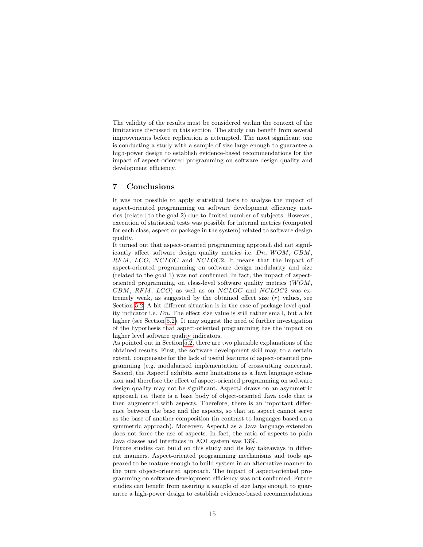The validity of the results must be considered within the context of the limitations discussed in this section. The study can benefit from several improvements before replication is attempted. The most significant one is conducting a study with a sample of size large enough to guarantee a high-power design to establish evidence-based recommendations for the impact of aspect-oriented programming on software design quality and development efficiency.

# <span id="page-14-0"></span>7 Conclusions

It was not possible to apply statistical tests to analyse the impact of aspect-oriented programming on software development efficiency metrics (related to the goal 2) due to limited number of subjects. However, execution of statistical tests was possible for internal metrics (computed for each class, aspect or package in the system) related to software design quality.

It turned out that aspect-oriented programming approach did not significantly affect software design quality metrics i.e.  $Dn$ ,  $WOM$ ,  $CBM$ , RFM, LCO, NCLOC and NCLOC2. It means that the impact of aspect-oriented programming on software design modularity and size (related to the goal 1) was not confirmed. In fact, the impact of aspectoriented programming on class-level software quality metrics  $(WOM,$  $CBM, RFM, LCO$  as well as on  $NCLOC$  and  $NCLOC2$  was extremely weak, as suggested by the obtained effect size  $(r)$  values, see Section [5.2.](#page-9-0) A bit different situation is in the case of package level quality indicator i.e.  $D_n$ . The effect size value is still rather small, but a bit higher (see Section [5.2\)](#page-9-0). It may suggest the need of further investigation of the hypothesis that aspect-oriented programming has the impact on higher level software quality indicators.

As pointed out in Section [5.2,](#page-9-0) there are two plausible explanations of the obtained results. First, the software development skill may, to a certain extent, compensate for the lack of useful features of aspect-oriented programming (e.g. modularised implementation of crosscutting concerns). Second, the AspectJ exhibits some limitations as a Java language extension and therefore the effect of aspect-oriented programming on software design quality may not be significant. AspectJ draws on an asymmetric approach i.e. there is a base body of object-oriented Java code that is then augmented with aspects. Therefore, there is an important difference between the base and the aspects, so that an aspect cannot serve as the base of another composition (in contrast to languages based on a symmetric approach). Moreover, AspectJ as a Java language extension does not force the use of aspects. In fact, the ratio of aspects to plain Java classes and interfaces in AO1 system was 13%.

Future studies can build on this study and its key takeaways in different manners. Aspect-oriented programming mechanisms and tools appeared to be mature enough to build system in an alternative manner to the pure object-oriented approach. The impact of aspect-oriented programming on software development efficiency was not confirmed. Future studies can benefit from assuring a sample of size large enough to guarantee a high-power design to establish evidence-based recommendations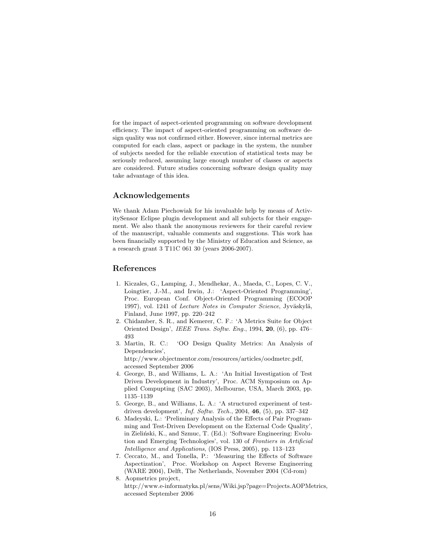for the impact of aspect-oriented programming on software development efficiency. The impact of aspect-oriented programming on software design quality was not confirmed either. However, since internal metrics are computed for each class, aspect or package in the system, the number of subjects needed for the reliable execution of statistical tests may be seriously reduced, assuming large enough number of classes or aspects are considered. Future studies concerning software design quality may take advantage of this idea.

# Acknowledgements

We thank Adam Piechowiak for his invaluable help by means of ActivitySensor Eclipse plugin development and all subjects for their engagement. We also thank the anonymous reviewers for their careful review of the manuscript, valuable comments and suggestions. This work has been financially supported by the Ministry of Education and Science, as a research grant 3 T11C 061 30 (years 2006-2007).

# References

- <span id="page-15-0"></span>1. Kiczales, G., Lamping, J., Mendhekar, A., Maeda, C., Lopes, C. V., Loingtier, J.-M., and Irwin, J.: 'Aspect-Oriented Programming', Proc. European Conf. Object-Oriented Programming (ECOOP 1997), vol. 1241 of Lecture Notes in Computer Science, Jyväskylä, Finland, June 1997, pp. 220–242
- <span id="page-15-1"></span>2. Chidamber, S. R., and Kemerer, C. F.: 'A Metrics Suite for Object Oriented Design', IEEE Trans. Softw. Eng., 1994, 20, (6), pp. 476– 493
- <span id="page-15-2"></span>3. Martin, R. C.: 'OO Design Quality Metrics: An Analysis of Dependencies', http://www.objectmentor.com/resources/articles/oodmetrc.pdf, accessed September 2006
- <span id="page-15-3"></span>4. George, B., and Williams, L. A.: 'An Initial Investigation of Test Driven Development in Industry', Proc. ACM Symposium on Applied Compupting (SAC 2003), Melbourne, USA, March 2003, pp. 1135–1139
- <span id="page-15-4"></span>5. George, B., and Williams, L. A.: 'A structured experiment of testdriven development', *Inf. Softw. Tech.*, 2004,  $46$ ,  $(5)$ , pp. 337–342
- <span id="page-15-5"></span>6. Madeyski, L.: 'Preliminary Analysis of the Effects of Pair Programming and Test-Driven Development on the External Code Quality', in Zieliński, K., and Szmuc, T. (Ed.): 'Software Engineering: Evolution and Emerging Technologies', vol. 130 of Frontiers in Artificial Intelligence and Applications, (IOS Press, 2005), pp. 113–123
- <span id="page-15-6"></span>7. Ceccato, M., and Tonella, P.: 'Measuring the Effects of Software Aspectization', Proc. Workshop on Aspect Reverse Engineering (WARE 2004), Delft, The Netherlands, November 2004 (Cd-rom) 8. Aopmetrics project,
- <span id="page-15-7"></span>http://www.e-informatyka.pl/sens/Wiki.jsp?page=Projects.AOPMetrics, accessed September 2006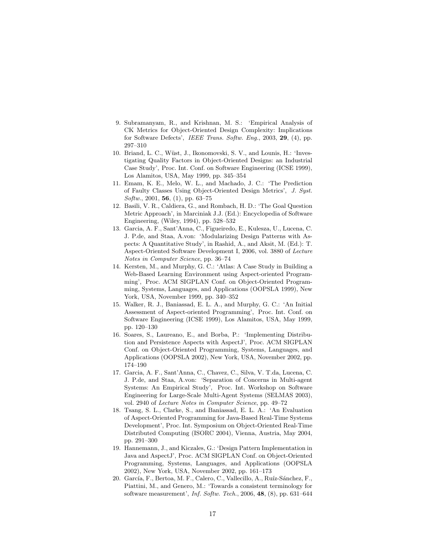- <span id="page-16-0"></span>9. Subramanyam, R., and Krishnan, M. S.: 'Empirical Analysis of CK Metrics for Object-Oriented Design Complexity: Implications for Software Defects', IEEE Trans. Softw. Eng., 2003, 29, (4), pp. 297–310
- <span id="page-16-1"></span>10. Briand, L. C., Wüst, J., Ikonomovski, S. V., and Lounis, H.: 'Investigating Quality Factors in Object-Oriented Designs: an Industrial Case Study', Proc. Int. Conf. on Software Engineering (ICSE 1999), Los Alamitos, USA, May 1999, pp. 345–354
- <span id="page-16-2"></span>11. Emam, K. E., Melo, W. L., and Machado, J. C.: 'The Prediction of Faulty Classes Using Object-Oriented Design Metrics', J. Syst.  $Softw., 2001, 56, (1), pp. 63-75$
- <span id="page-16-3"></span>12. Basili, V. R., Caldiera, G., and Rombach, H. D.: 'The Goal Question Metric Approach', in Marciniak J.J. (Ed.): Encyclopedia of Software Engineering, (Wiley, 1994), pp. 528–532
- <span id="page-16-4"></span>13. Garcia, A. F., Sant'Anna, C., Figueiredo, E., Kulesza, U., Lucena, C. J. P.de, and Staa, A.von: 'Modularizing Design Patterns with Aspects: A Quantitative Study', in Rashid, A., and Aksit, M. (Ed.): T. Aspect-Oriented Software Development I, 2006, vol. 3880 of Lecture Notes in Computer Science, pp. 36–74
- <span id="page-16-5"></span>14. Kersten, M., and Murphy, G. C.: 'Atlas: A Case Study in Building a Web-Based Learning Environment using Aspect-oriented Programming', Proc. ACM SIGPLAN Conf. on Object-Oriented Programming, Systems, Languages, and Applications (OOPSLA 1999), New York, USA, November 1999, pp. 340–352
- <span id="page-16-6"></span>15. Walker, R. J., Baniassad, E. L. A., and Murphy, G. C.: 'An Initial Assessment of Aspect-oriented Programming', Proc. Int. Conf. on Software Engineering (ICSE 1999), Los Alamitos, USA, May 1999, pp. 120–130
- <span id="page-16-7"></span>16. Soares, S., Laureano, E., and Borba, P.: 'Implementing Distribution and Persistence Aspects with AspectJ', Proc. ACM SIGPLAN Conf. on Object-Oriented Programming, Systems, Languages, and Applications (OOPSLA 2002), New York, USA, November 2002, pp. 174–190
- <span id="page-16-8"></span>17. Garcia, A. F., Sant'Anna, C., Chavez, C., Silva, V. T.da, Lucena, C. J. P.de, and Staa, A.von: 'Separation of Concerns in Multi-agent Systems: An Empirical Study', Proc. Int. Workshop on Software Engineering for Large-Scale Multi-Agent Systems (SELMAS 2003), vol. 2940 of Lecture Notes in Computer Science, pp. 49–72
- <span id="page-16-9"></span>18. Tsang, S. L., Clarke, S., and Baniassad, E. L. A.: 'An Evaluation of Aspect-Oriented Programming for Java-Based Real-Time Systems Development', Proc. Int. Symposium on Object-Oriented Real-Time Distributed Computing (ISORC 2004), Vienna, Austria, May 2004, pp. 291–300
- <span id="page-16-10"></span>19. Hannemann, J., and Kiczales, G.: 'Design Pattern Implementation in Java and AspectJ', Proc. ACM SIGPLAN Conf. on Object-Oriented Programming, Systems, Languages, and Applications (OOPSLA 2002), New York, USA, November 2002, pp. 161–173
- <span id="page-16-11"></span>20. García, F., Bertoa, M. F., Calero, C., Vallecillo, A., Ruíz-Sánchez, F., Piattini, M., and Genero, M.: 'Towards a consistent terminology for software measurement', Inf. Softw. Tech., 2006, 48, (8), pp. 631–644